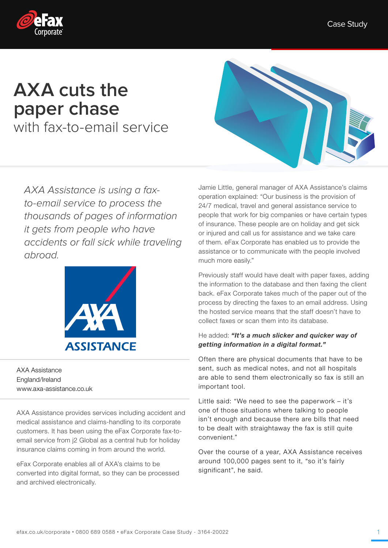

# **AXA cuts the paper chase**

with fax-to-email service

AXA Assistance is using a faxto-email service to process the thousands of pages of information it gets from people who have accidents or fall sick while traveling abroad.



AXA Assistance England/Ireland www.axa-assistance.co.uk

AXA Assistance provides services including accident and medical assistance and claims-handling to its corporate customers. It has been using the eFax Corporate fax-toemail service from j2 Global as a central hub for holiday insurance claims coming in from around the world.

eFax Corporate enables all of AXA's claims to be converted into digital format, so they can be processed and archived electronically.



Jamie Little, general manager of AXA Assistance's claims operation explained: "Our business is the provision of 24/7 medical, travel and general assistance service to people that work for big companies or have certain types of insurance. These people are on holiday and get sick or injured and call us for assistance and we take care of them. eFax Corporate has enabled us to provide the assistance or to communicate with the people involved much more easily."

Previously staff would have dealt with paper faxes, adding the information to the database and then faxing the client back. eFax Corporate takes much of the paper out of the process by directing the faxes to an email address. Using the hosted service means that the staff doesn't have to collect faxes or scan them into its database.

## He added: "It's a much slicker and quicker way of getting information in a digital format."

Often there are physical documents that have to be sent, such as medical notes, and not all hospitals are able to send them electronically so fax is still an important tool.

Little said: "We need to see the paperwork – it's one of those situations where talking to people isn't enough and because there are bills that need to be dealt with straightaway the fax is still quite convenient."

Over the course of a year, AXA Assistance receives around 100,000 pages sent to it, "so it's fairly significant", he said.